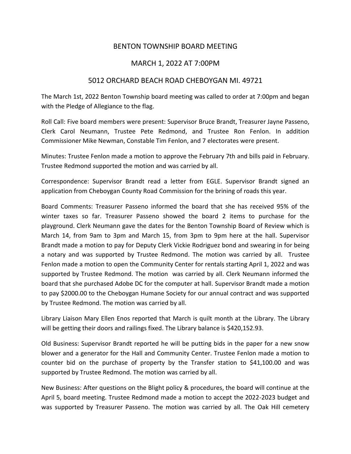## BENTON TOWNSHIP BOARD MEETING

## MARCH 1, 2022 AT 7:00PM

## 5012 ORCHARD BEACH ROAD CHEBOYGAN MI. 49721

The March 1st, 2022 Benton Township board meeting was called to order at 7:00pm and began with the Pledge of Allegiance to the flag.

Roll Call: Five board members were present: Supervisor Bruce Brandt, Treasurer Jayne Passeno, Clerk Carol Neumann, Trustee Pete Redmond, and Trustee Ron Fenlon. In addition Commissioner Mike Newman, Constable Tim Fenlon, and 7 electorates were present.

Minutes: Trustee Fenlon made a motion to approve the February 7th and bills paid in February. Trustee Redmond supported the motion and was carried by all.

Correspondence: Supervisor Brandt read a letter from EGLE. Supervisor Brandt signed an application from Cheboygan County Road Commission for the brining of roads this year.

Board Comments: Treasurer Passeno informed the board that she has received 95% of the winter taxes so far. Treasurer Passeno showed the board 2 items to purchase for the playground. Clerk Neumann gave the dates for the Benton Township Board of Review which is March 14, from 9am to 3pm and March 15, from 3pm to 9pm here at the hall. Supervisor Brandt made a motion to pay for Deputy Clerk Vickie Rodriguez bond and swearing in for being a notary and was supported by Trustee Redmond. The motion was carried by all. Trustee Fenlon made a motion to open the Community Center for rentals starting April 1, 2022 and was supported by Trustee Redmond. The motion was carried by all. Clerk Neumann informed the board that she purchased Adobe DC for the computer at hall. Supervisor Brandt made a motion to pay \$2000.00 to the Cheboygan Humane Society for our annual contract and was supported by Trustee Redmond. The motion was carried by all.

Library Liaison Mary Ellen Enos reported that March is quilt month at the Library. The Library will be getting their doors and railings fixed. The Library balance is \$420,152.93.

Old Business: Supervisor Brandt reported he will be putting bids in the paper for a new snow blower and a generator for the Hall and Community Center. Trustee Fenlon made a motion to counter bid on the purchase of property by the Transfer station to \$41,100.00 and was supported by Trustee Redmond. The motion was carried by all.

New Business: After questions on the Blight policy & procedures, the board will continue at the April 5, board meeting. Trustee Redmond made a motion to accept the 2022-2023 budget and was supported by Treasurer Passeno. The motion was carried by all. The Oak Hill cemetery